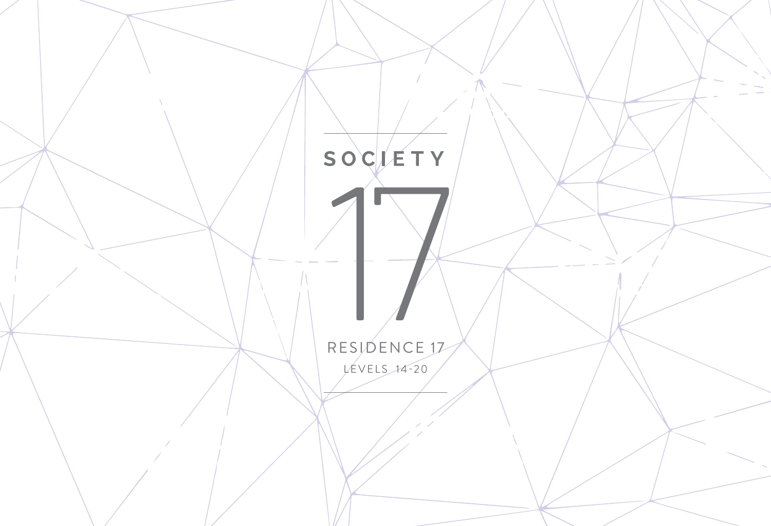